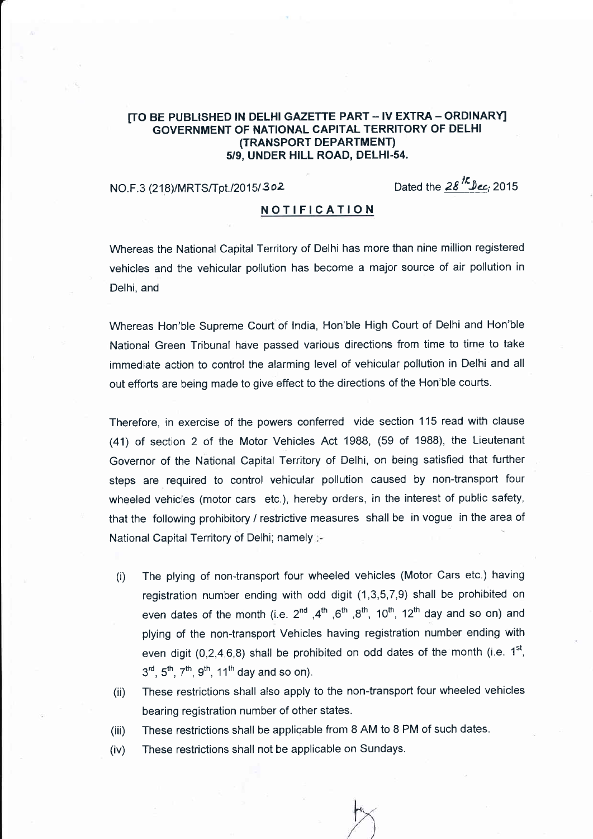# [TO BE PUBLISHED IN DELHI GAZETTE PART - IV EXTRA - ORDINARY] GOVERNMENT OF NATIONAL CAPITAL TERRITORY OF DELHI (TRANSPORT DEPARTMENT) 5/9, UNDER HILL ROAD, DELHI-54.

NO.F.3 (218)/MRTS/Tpt./2015/302 Dated the  $28^{1/2}$  Dec. 2015

## NOTIFICATION

Whereas the National Capital Territory of Delhi has more than nine million registered vehicles and the vehicular pollution has become a major source of air pollution in Delhi, and

Whereas Hon'ble Supreme Court of lndia, Hon'ble High Court of Delhi and Hon'ble National Green Tribunal have passed various directions from time to time to take immediate action to control the alarming level of vehicular pollution in Delhi and all out efforts are being made to give effect to the directions of the Hon'ble courts.

Therefore, in exercise of the powers conferred vide section 115 read with clause (41) of section 2 of the Motor Vehicles Act 1988, (59 of 1988), the Lieutenant Governor of the National Capital Territory of Delhi, on being satisfled that further steps are required to control vehicular pollution caused by non-transport four wheeled vehicles (motor cars etc.), hereby orders, in the interest of public safety, that the following prohibitory / restrictive measures shall be in vogue in the area of National Capital Territory of Delhi; namely :-

- The plying of non-transport four wheeled vehicles (Motor Cars etc.) having registration number ending with odd digit (1,3,5,7,9) shall be prohibited on even dates of the month (i.e.  $2^{nd}$ ,  $4^{th}$ ,  $6^{th}$ ,  $8^{th}$ ,  $10^{th}$ ,  $12^{th}$  day and so on) and plying of the non-transport Vehicles having registration number ending with even digit (0,2,4,6,8) shall be prohibited on odd dates of the month (i.e.  $1^{st}$ ,  $3^{rd}$ ,  $5^{th}$ ,  $7^{th}$ ,  $9^{th}$ ,  $11^{th}$  day and so on). (i)
- These restrictions shall also apply to the non-transport four wheeled vehicles bearing registration number of other states. (ii)
- These restrictions shall be applicable from 8 AM to 8 PM of such dates. ( iii)
- These restrictions shall not be applicable on Sundays. (iv)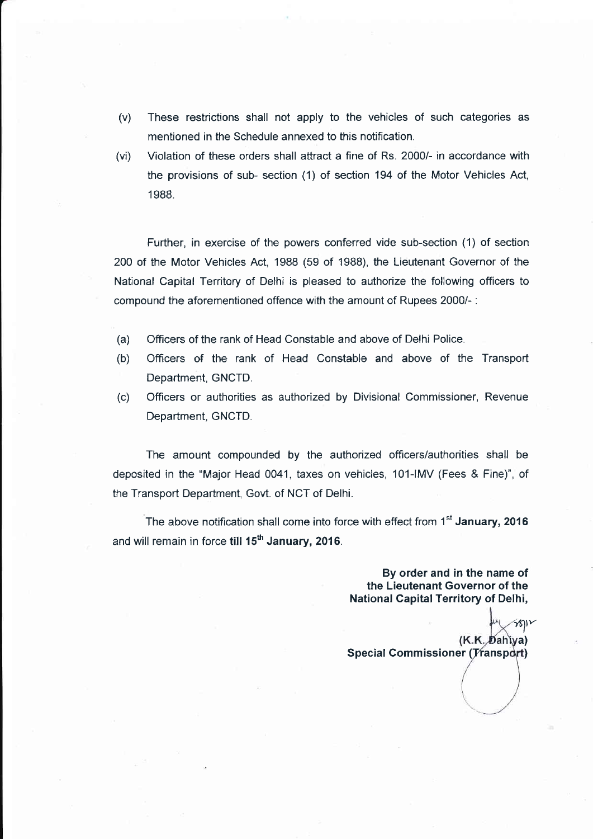- (v) These restrictions shall not apply to the vehicles of such categories as mentioned in the Schedule annexed to this notification.
- (vi) Violation of these orders shall attract a fine of Rs. 2000/- in accordance with the provisions of sub- section (1) of section 194 of the Motor Vehicles Act, <sup>1</sup>988.

Further, in exercise of the powers conferred vide sub-section (1) of section 200 of the Motor Vehicles Act, 1988 (59 of 1988), the Lieutenant Governor of the National Capital Territory of Delhi is pleased to authorize the following officers to compound the aforementioned offence with the amount of Rupees 2000/-:

- (a) Officers of the rank of Head Constable and above of Delhi Police.
- (b) Officers of the rank of Head Constable and above of the Transport Department, GNCTD.
- (c) Officers or authorities as authorized by Divisional Commissioner, Revenue Department, GNCTD.

The amount compounded by the authorized officers/authorities shall be deposited in the "Major Head 0041, taxes on vehicles, 101-IMV (Fees & Fine)", of the Transport Department, Govt. of NCT of Delhi.

The above notification shall come into force with effect from  $1<sup>st</sup>$  January, 2016 and will remain in force till  $15<sup>th</sup>$  January, 2016.

> By order and in the name of the Lieutenant Governor of the National Capital Territory of Delhi,

 $\frac{1}{2}$ (K.K. Dahiya) Special Commissioner (Transport)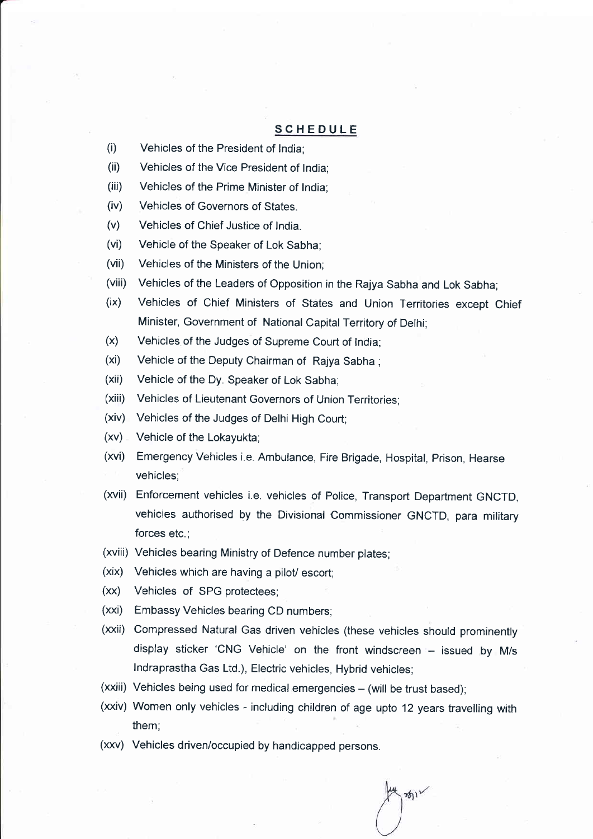# SCHEDULE

- (i) Vehicles of the President of lndia;
- (ii) Vehicles of the Vice President of lndia;
- (iii) Vehicles of the Prime Minister of lndia;
- (iv) Vehicles of Governors of States.
- (v) Vehicles of Chief Justice of lndia.
- (vi) Vehicle of the Speaker of Lok Sabha;
- (vii) Vehicles of the Ministers of the Union;
- (viii) Vehicles of the Leaders of Opposition in the Rajya Sabha and Lok Sabha;
- (ix) Vehicles of Chief Ministers of States and Union Territories except Chief Minister, Government of National Capital Territory of Delhi;
- (x) Vehicles of the Judges of Supreme Court of lndia;
- (xi) Vehicle of the Deputy Chairman of Rajya Sabha ;
- (xii) Vehicle of the Dy. Speaker of Lok Sabha;
- (xiii) Vehicles of Lieutenant Governors of Union Territories;
- (xiv) Vehicles of the Judges of Delhi High Court;
- $(xv)$  Vehicle of the Lokayukta;
- (xvi) Emergency Vehicles i.e. Ambulance, Fire Brigade, Hospital, prison, Hearse vehicles;
- (xvii) Enforcement vehicles i.e. vehicles of Police, Transport Department GNCTD, vehicles authorised by the Divisional Commissioner GNCTD, para military forces etc.;
- (xviii) Vehicles bearing Ministry of Defence number plates;
- (xix) Vehicles which are having a pilot/ escort;
- (xx) Vehicles of SPG protectees;
- (xxi) Embassy Vehicles bearing CD numbers;
- (xxii) Compressed Natural Gas driven vehicles (these vehicles should prominently display sticker 'CNG Vehicle' on the front windscreen - issued by M/s lndraprastha Gas Ltd.), Electric vehicles, Hybrid vehicles;
- $(xxiii)$  Vehicles being used for medical emergencies  $-$  (will be trust based);
- (xxiv) Women only vehicles including children of age upto 12 years travelling with them;

 $\frac{1}{2}$ 

(xxv) Vehicles driven/occupied by handicapped persons.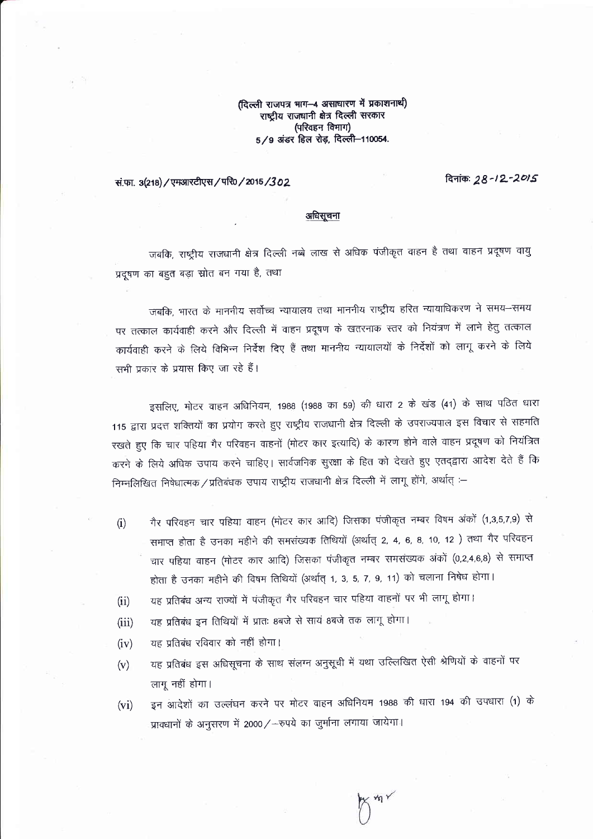(दिल्ली राजपत्र माग-4 असाधारण में प्रकाशनाथी) राष्ट्रीय राजघानी क्षेत्र दिल्ली सरकार (परिवहन विभाग) 5/9 अंडर हिल रोड़, दिल्ली-110054.

दिनांक: 28-12-2015

## सं.फा. 3(218) / एमआरटीएस / परि0 / 2015 / 302

### अधिसूचना

जबकि, राष्ट्रीय राजधानी क्षेत्र दिल्ली नब्बे लाख से अधिक पंजीकृत वाहन है तथा वाहन प्रदूषण वायु प्रदूषण का बहुत बड़ा स्रोत बन गया है, तथा

जबकि, भारत के माननीय सर्वोच्च न्यायालय तथा माननीय राष्ट्रीय हरित न्यायाधिकरण ने समय-समय पर तत्काल कार्यवाही करने और दिल्ली में वाहन प्रदूषण के खतरनाक स्तर को नियंत्रण में लाने हेतु तत्काल कार्यवाही करने के लिये विभिन्न निर्देश दिए हैं तथा माननीय न्यायालयों के निर्देशों को लागू करने के लिये सभी प्रकार के प्रयास किए जा रहे हैं।

इसलिए, मोटर वाहन अधिनियम, 1988 (1988 का 59) की धारा 2 के खंड (41) के साथ पठित धारा 115 द्वारा प्रदत्त शक्तियों का प्रयोग करते हुए राष्ट्रीय राजधानी क्षेत्र दिल्ली के उपराज्यपाल इस विचार से सहमति रखते हुए कि चार पहिया गैर परिवहन वाहनों (मोटर कार इत्यादि) के कारण होने वाले वाहन प्रदूषण को नियंत्रित करने के लिये अधिक उपाय करने चाहिए। सार्वजनिक सुरक्षा के हित को देखते हुए एतद्द्वारा आदेश देते हैं कि निम्नलिखित निषेधात्मक/प्रतिबंधक उपाय राष्ट्रीय राजधानी क्षेत्र दिल्ली में लागू होंगे, अर्थात् :-

- गैर परिवहन चार पहिया वाहन (मोटर कार आदि) जिसका पंजीकृत नम्बर विषम अंकों (1,3,5,7,9) से  $(i)$ समाप्त होता है उनका महीने की समसंख्यक तिथियों (अर्थात् 2, 4, 6, 8, 10, 12) तथा गैर परिवहन चार पहिया वाहन (मोटर कार आदि) जिसका पंजीकृत नम्बर समसंख्यक अंकों (0,2,4,6,8) से समाप्त होता है उनका महीने की विषम तिथियों (अर्थात् 1, 3, 5, 7, 9, 11) को चलाना निषेध होगा।
- यह प्रतिबंध अन्य राज्यों में पंजीकृत गैर परिवहन चार पहिया वाहनों पर भी लागू होगा।  $(ii)$
- यह प्रतिबंध इन तिथियों में प्रातः 8बजे से सायं 8बजे तक लागू होगा।  $(iii)$
- यह प्रतिबंध रविवार को नहीं होगा।  $(iv)$
- यह प्रतिबंध इस अधिसूचना के साथ संलग्न अनुसूची में यथा उल्लिखित ऐसी श्रेणियों के वाहनों पर  $(v)$ लागू नहीं होगा।
- इन आदेशों का उल्लंघन करने पर मोटर वाहन अधिनियम 1988 की धारा 194 की उपधारा (1) के  $(vi)$ प्रावधानों के अनुसरण में 2000/-रुपये का जुर्माना लगाया जायेगा।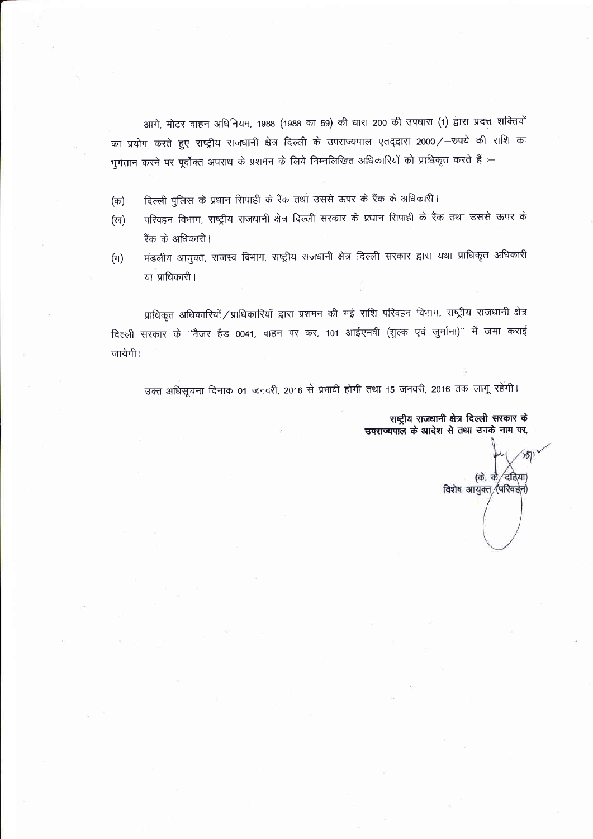आगे, मोटर वाहन अधिनियम, 1988 (1988 का 59) की धारा 200 की उपधारा (1) द्वारा प्रदत्त शक्तियों का प्रयोग करते हुए राष्ट्रीय राजधानी क्षेत्र दिल्ली के उपराज्यपाल एतद्द्वारा 2000/-रुपये की राशि का भुगतान करने पर पूर्वोक्त अपराध के प्रशमन के लिये निम्नलिखित अधिकारियों को प्राधिकृत करते हैं :–

- दिल्ली पुलिस के प्रधान सिपाही के रैंक तथा उससे ऊपर के रैंक के अधिकारी। (क)
- परिवहन विभाग, राष्ट्रीय राजधानी क्षेत्र दिल्ली सरकार के प्रधान सिपाही के रैंक तथा उससे ऊपर के (ख) रैंक के अधिकारी।
- मंडलीय आयुक्त, राजस्व विभाग, राष्ट्रीय राजधानी क्षेत्र दिल्ली सरकार द्वारा यथा प्राधिकृत अधिकारी  $(\pi)$ या प्राधिकारी ।

प्राधिकृत अधिकारियों / प्राधिकारियों द्वारा प्रशमन की गई राशि परिवहन विभाग, राष्ट्रीय राजधानी क्षेत्र दिल्ली सरकार के ''मैजर हैड 0041, वाहन पर कर, 101–आईएमवी (शुल्क एवं जुर्माना)'' में जमा कराई जायेगी।

उक्त अधिसूचना दिनांक 01 जनवरी, 2016 से प्रभावी होगी तथा 15 जनवरी, 2016 तक लागू रहेंगी।

राष्ट्रीय राजधानी क्षेत्र दिल्ली सरकार के उपराज्यपाल के आदेश से तथा उनके नाम पर,

(के. के ′दहिया विशेष आयुक्त /(परिवर्झन)